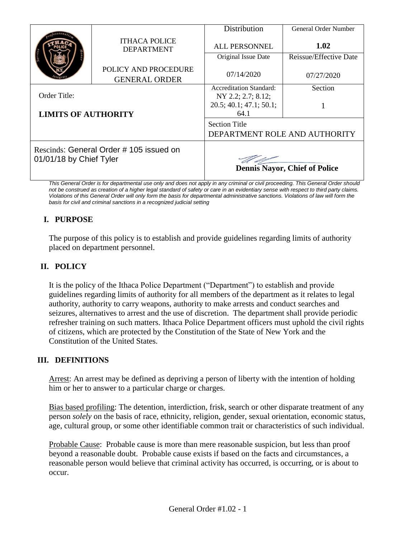|                                              | Distribution                                                                                    | General Order Number                          |
|----------------------------------------------|-------------------------------------------------------------------------------------------------|-----------------------------------------------|
| <b>ITHACA POLICE</b><br><b>DEPARTMENT</b>    | <b>ALL PERSONNEL</b>                                                                            | 1.02                                          |
|                                              | Original Issue Date                                                                             | Reissue/Effective Date                        |
| POLICY AND PROCEDURE<br><b>GENERAL ORDER</b> | 07/14/2020                                                                                      | 07/27/2020                                    |
|                                              | <b>Accreditation Standard:</b>                                                                  | Section                                       |
|                                              |                                                                                                 |                                               |
|                                              | 64.1                                                                                            |                                               |
|                                              | <b>Section Title</b><br>DEPARTMENT ROLE AND AUTHORITY                                           |                                               |
|                                              | <b>Dennis Nayor, Chief of Police</b>                                                            |                                               |
|                                              | <b>LIMITS OF AUTHORITY</b><br>Rescinds: General Order #105 issued on<br>01/01/18 by Chief Tyler | NY 2.2; 2.7; 8.12;<br>20.5; 40.1; 47.1; 50.1; |

*This General Order is for departmental use only and does not apply in any criminal or civil proceeding. This General Order should not be construed as creation of a higher legal standard of safety or care in an evidentiary sense with respect to third party claims. Violations of this General Order will only form the basis for departmental administrative sanctions. Violations of law will form the basis for civil and criminal sanctions in a recognized judicial setting*

# **I. PURPOSE**

The purpose of this policy is to establish and provide guidelines regarding limits of authority placed on department personnel.

# **II. POLICY**

It is the policy of the Ithaca Police Department ("Department") to establish and provide guidelines regarding limits of authority for all members of the department as it relates to legal authority, authority to carry weapons, authority to make arrests and conduct searches and seizures, alternatives to arrest and the use of discretion. The department shall provide periodic refresher training on such matters. Ithaca Police Department officers must uphold the civil rights of citizens, which are protected by the Constitution of the State of New York and the Constitution of the United States.

## **III. DEFINITIONS**

Arrest: An arrest may be defined as depriving a person of liberty with the intention of holding him or her to answer to a particular charge or charges.

Bias based profiling: The detention, interdiction, frisk, search or other disparate treatment of any person *solely* on the basis of race, ethnicity, religion, gender, sexual orientation, economic status, age, cultural group, or some other identifiable common trait or characteristics of such individual.

Probable Cause: Probable cause is more than mere reasonable suspicion, but less than proof beyond a reasonable doubt. Probable cause exists if based on the facts and circumstances, a reasonable person would believe that criminal activity has occurred, is occurring, or is about to occur.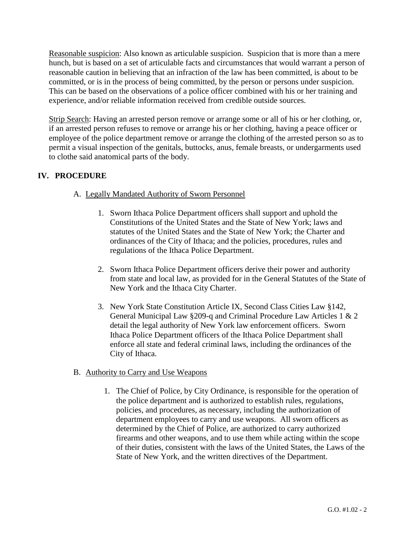Reasonable suspicion: Also known as articulable suspicion. Suspicion that is more than a mere hunch, but is based on a set of articulable facts and circumstances that would warrant a person of reasonable caution in believing that an infraction of the law has been committed, is about to be committed, or is in the process of being committed, by the person or persons under suspicion. This can be based on the observations of a police officer combined with his or her training and experience, and/or reliable information received from credible outside sources.

Strip Search: Having an arrested person remove or arrange some or all of his or her clothing, or, if an arrested person refuses to remove or arrange his or her clothing, having a peace officer or employee of the police department remove or arrange the clothing of the arrested person so as to permit a visual inspection of the genitals, buttocks, anus, female breasts, or undergarments used to clothe said anatomical parts of the body.

## **IV. PROCEDURE**

## A. Legally Mandated Authority of Sworn Personnel

- 1. Sworn Ithaca Police Department officers shall support and uphold the Constitutions of the United States and the State of New York; laws and statutes of the United States and the State of New York; the Charter and ordinances of the City of Ithaca; and the policies, procedures, rules and regulations of the Ithaca Police Department.
- 2. Sworn Ithaca Police Department officers derive their power and authority from state and local law, as provided for in the General Statutes of the State of New York and the Ithaca City Charter.
- 3. New York State Constitution Article IX, Second Class Cities Law §142, General Municipal Law §209-q and Criminal Procedure Law Articles 1 & 2 detail the legal authority of New York law enforcement officers. Sworn Ithaca Police Department officers of the Ithaca Police Department shall enforce all state and federal criminal laws, including the ordinances of the City of Ithaca.

## B. Authority to Carry and Use Weapons

1. The Chief of Police, by City Ordinance, is responsible for the operation of the police department and is authorized to establish rules, regulations, policies, and procedures, as necessary, including the authorization of department employees to carry and use weapons. All sworn officers as determined by the Chief of Police, are authorized to carry authorized firearms and other weapons, and to use them while acting within the scope of their duties, consistent with the laws of the United States, the Laws of the State of New York, and the written directives of the Department.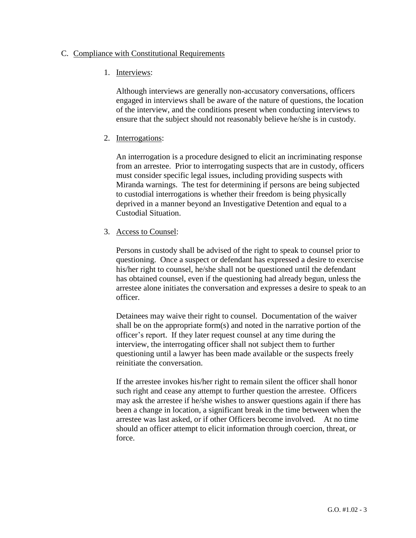### C. Compliance with Constitutional Requirements

### 1. Interviews:

Although interviews are generally non-accusatory conversations, officers engaged in interviews shall be aware of the nature of questions, the location of the interview, and the conditions present when conducting interviews to ensure that the subject should not reasonably believe he/she is in custody.

### 2. Interrogations:

An interrogation is a procedure designed to elicit an incriminating response from an arrestee. Prior to interrogating suspects that are in custody, officers must consider specific legal issues, including providing suspects with Miranda warnings. The test for determining if persons are being subjected to custodial interrogations is whether their freedom is being physically deprived in a manner beyond an Investigative Detention and equal to a Custodial Situation.

### 3. Access to Counsel:

Persons in custody shall be advised of the right to speak to counsel prior to questioning. Once a suspect or defendant has expressed a desire to exercise his/her right to counsel, he/she shall not be questioned until the defendant has obtained counsel, even if the questioning had already begun, unless the arrestee alone initiates the conversation and expresses a desire to speak to an officer.

Detainees may waive their right to counsel. Documentation of the waiver shall be on the appropriate form(s) and noted in the narrative portion of the officer's report. If they later request counsel at any time during the interview, the interrogating officer shall not subject them to further questioning until a lawyer has been made available or the suspects freely reinitiate the conversation.

If the arrestee invokes his/her right to remain silent the officer shall honor such right and cease any attempt to further question the arrestee. Officers may ask the arrestee if he/she wishes to answer questions again if there has been a change in location, a significant break in the time between when the arrestee was last asked, or if other Officers become involved. At no time should an officer attempt to elicit information through coercion, threat, or force.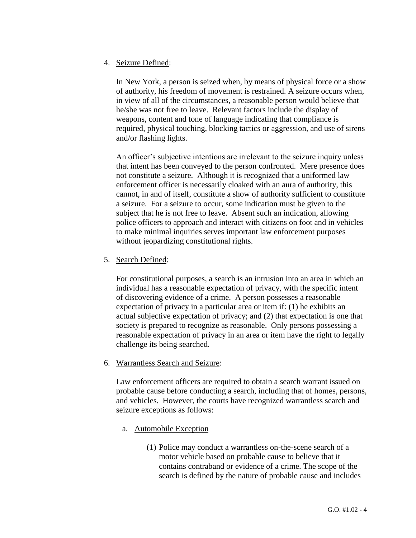### 4. Seizure Defined:

In New York, a person is seized when, by means of physical force or a show of authority, his freedom of movement is restrained. A seizure occurs when, in view of all of the circumstances, a reasonable person would believe that he/she was not free to leave. Relevant factors include the display of weapons, content and tone of language indicating that compliance is required, physical touching, blocking tactics or aggression, and use of sirens and/or flashing lights.

An officer's subjective intentions are irrelevant to the seizure inquiry unless that intent has been conveyed to the person confronted. Mere presence does not constitute a seizure. Although it is recognized that a uniformed law enforcement officer is necessarily cloaked with an aura of authority, this cannot, in and of itself, constitute a show of authority sufficient to constitute a seizure. For a seizure to occur, some indication must be given to the subject that he is not free to leave. Absent such an indication, allowing police officers to approach and interact with citizens on foot and in vehicles to make minimal inquiries serves important law enforcement purposes without jeopardizing constitutional rights.

### 5. Search Defined:

For constitutional purposes, a search is an intrusion into an area in which an individual has a reasonable expectation of privacy, with the specific intent of discovering evidence of a crime. A person possesses a reasonable expectation of privacy in a particular area or item if: (1) he exhibits an actual subjective expectation of privacy; and (2) that expectation is one that society is prepared to recognize as reasonable. Only persons possessing a reasonable expectation of privacy in an area or item have the right to legally challenge its being searched.

6. Warrantless Search and Seizure:

Law enforcement officers are required to obtain a search warrant issued on probable cause before conducting a search, including that of homes, persons, and vehicles. However, the courts have recognized warrantless search and seizure exceptions as follows:

- a. Automobile Exception
	- (1) Police may conduct a warrantless on-the-scene search of a motor vehicle based on probable cause to believe that it contains contraband or evidence of a crime. The scope of the search is defined by the nature of probable cause and includes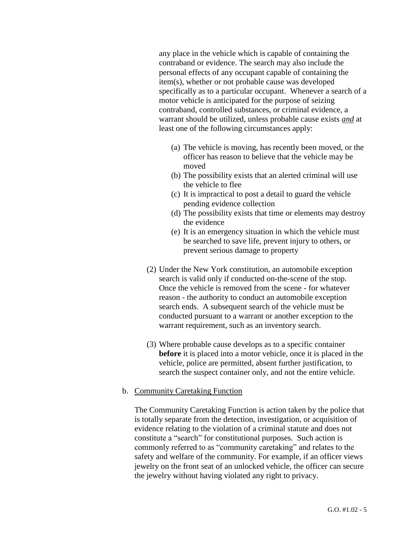any place in the vehicle which is capable of containing the contraband or evidence. The search may also include the personal effects of any occupant capable of containing the item(s), whether or not probable cause was developed specifically as to a particular occupant. Whenever a search of a motor vehicle is anticipated for the purpose of seizing contraband, controlled substances, or criminal evidence, a warrant should be utilized, unless probable cause exists *and* at least one of the following circumstances apply:

- (a) The vehicle is moving, has recently been moved, or the officer has reason to believe that the vehicle may be moved
- (b) The possibility exists that an alerted criminal will use the vehicle to flee
- (c) It is impractical to post a detail to guard the vehicle pending evidence collection
- (d) The possibility exists that time or elements may destroy the evidence
- (e) It is an emergency situation in which the vehicle must be searched to save life, prevent injury to others, or prevent serious damage to property
- (2) Under the New York constitution, an automobile exception search is valid only if conducted on-the-scene of the stop. Once the vehicle is removed from the scene - for whatever reason - the authority to conduct an automobile exception search ends. A subsequent search of the vehicle must be conducted pursuant to a warrant or another exception to the warrant requirement, such as an inventory search.
- (3) Where probable cause develops as to a specific container **before** it is placed into a motor vehicle, once it is placed in the vehicle, police are permitted, absent further justification, to search the suspect container only, and not the entire vehicle.

### b. Community Caretaking Function

The Community Caretaking Function is action taken by the police that is totally separate from the detection, investigation, or acquisition of evidence relating to the violation of a criminal statute and does not constitute a "search" for constitutional purposes. Such action is commonly referred to as "community caretaking" and relates to the safety and welfare of the community. For example, if an officer views jewelry on the front seat of an unlocked vehicle, the officer can secure the jewelry without having violated any right to privacy.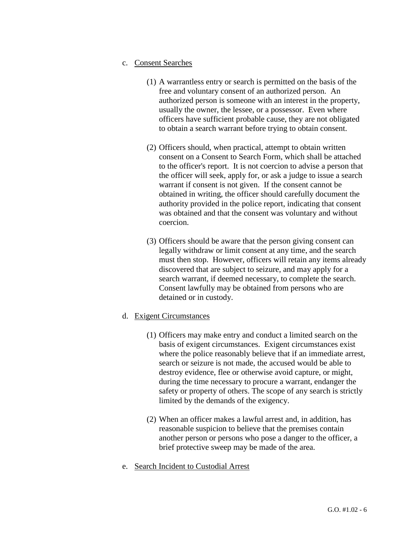- c. Consent Searches
	- (1) A warrantless entry or search is permitted on the basis of the free and voluntary consent of an authorized person. An authorized person is someone with an interest in the property, usually the owner, the lessee, or a possessor. Even where officers have sufficient probable cause, they are not obligated to obtain a search warrant before trying to obtain consent.
	- (2) Officers should, when practical, attempt to obtain written consent on a Consent to Search Form, which shall be attached to the officer's report. It is not coercion to advise a person that the officer will seek, apply for, or ask a judge to issue a search warrant if consent is not given. If the consent cannot be obtained in writing, the officer should carefully document the authority provided in the police report, indicating that consent was obtained and that the consent was voluntary and without coercion.
	- (3) Officers should be aware that the person giving consent can legally withdraw or limit consent at any time, and the search must then stop. However, officers will retain any items already discovered that are subject to seizure, and may apply for a search warrant, if deemed necessary, to complete the search. Consent lawfully may be obtained from persons who are detained or in custody.
- d. Exigent Circumstances
	- (1) Officers may make entry and conduct a limited search on the basis of exigent circumstances. Exigent circumstances exist where the police reasonably believe that if an immediate arrest, search or seizure is not made, the accused would be able to destroy evidence, flee or otherwise avoid capture, or might, during the time necessary to procure a warrant, endanger the safety or property of others. The scope of any search is strictly limited by the demands of the exigency.
	- (2) When an officer makes a lawful arrest and, in addition, has reasonable suspicion to believe that the premises contain another person or persons who pose a danger to the officer, a brief protective sweep may be made of the area.
- e. Search Incident to Custodial Arrest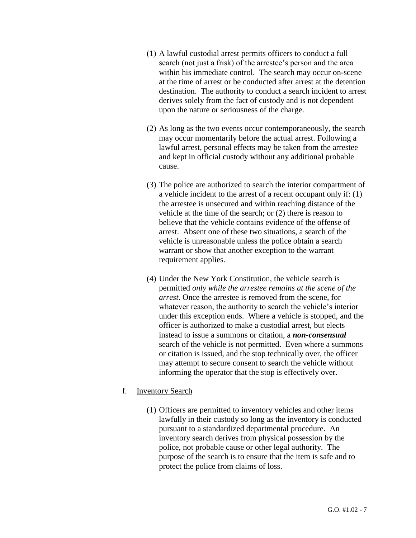- (1) A lawful custodial arrest permits officers to conduct a full search (not just a frisk) of the arrestee's person and the area within his immediate control. The search may occur on-scene at the time of arrest or be conducted after arrest at the detention destination. The authority to conduct a search incident to arrest derives solely from the fact of custody and is not dependent upon the nature or seriousness of the charge.
- (2) As long as the two events occur contemporaneously, the search may occur momentarily before the actual arrest. Following a lawful arrest, personal effects may be taken from the arrestee and kept in official custody without any additional probable cause.
- (3) The police are authorized to search the interior compartment of a vehicle incident to the arrest of a recent occupant only if: (1) the arrestee is unsecured and within reaching distance of the vehicle at the time of the search; or (2) there is reason to believe that the vehicle contains evidence of the offense of arrest. Absent one of these two situations, a search of the vehicle is unreasonable unless the police obtain a search warrant or show that another exception to the warrant requirement applies.
- (4) Under the New York Constitution, the vehicle search is permitted *only while the arrestee remains at the scene of the arrest*. Once the arrestee is removed from the scene, for whatever reason, the authority to search the vehicle's interior under this exception ends. Where a vehicle is stopped, and the officer is authorized to make a custodial arrest, but elects instead to issue a summons or citation, a *non-consensual*  search of the vehicle is not permitted. Even where a summons or citation is issued, and the stop technically over, the officer may attempt to secure consent to search the vehicle without informing the operator that the stop is effectively over.

#### f. Inventory Search

(1) Officers are permitted to inventory vehicles and other items lawfully in their custody so long as the inventory is conducted pursuant to a standardized departmental procedure. An inventory search derives from physical possession by the police, not probable cause or other legal authority. The purpose of the search is to ensure that the item is safe and to protect the police from claims of loss.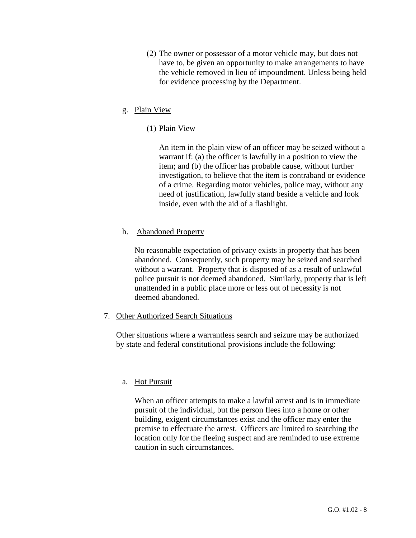(2) The owner or possessor of a motor vehicle may, but does not have to, be given an opportunity to make arrangements to have the vehicle removed in lieu of impoundment. Unless being held for evidence processing by the Department.

## g. Plain View

(1) Plain View

An item in the plain view of an officer may be seized without a warrant if: (a) the officer is lawfully in a position to view the item; and (b) the officer has probable cause, without further investigation, to believe that the item is contraband or evidence of a crime. Regarding motor vehicles, police may, without any need of justification, lawfully stand beside a vehicle and look inside, even with the aid of a flashlight.

## h. Abandoned Property

No reasonable expectation of privacy exists in property that has been abandoned. Consequently, such property may be seized and searched without a warrant. Property that is disposed of as a result of unlawful police pursuit is not deemed abandoned. Similarly, property that is left unattended in a public place more or less out of necessity is not deemed abandoned.

## 7. Other Authorized Search Situations

Other situations where a warrantless search and seizure may be authorized by state and federal constitutional provisions include the following:

## a. Hot Pursuit

When an officer attempts to make a lawful arrest and is in immediate pursuit of the individual, but the person flees into a home or other building, exigent circumstances exist and the officer may enter the premise to effectuate the arrest. Officers are limited to searching the location only for the fleeing suspect and are reminded to use extreme caution in such circumstances.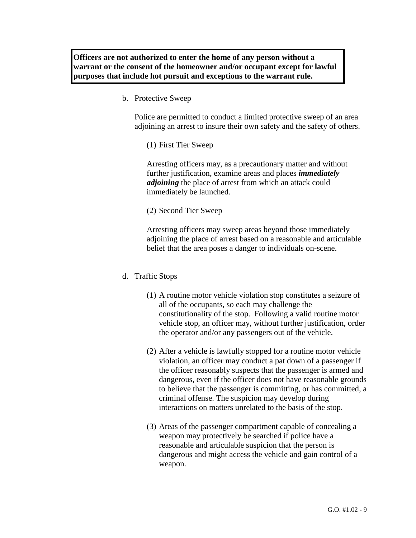**Officers are not authorized to enter the home of any person without a warrant or the consent of the homeowner and/or occupant except for lawful purposes that include hot pursuit and exceptions to the warrant rule.**

b. Protective Sweep

Police are permitted to conduct a limited protective sweep of an area adjoining an arrest to insure their own safety and the safety of others.

(1) First Tier Sweep

Arresting officers may, as a precautionary matter and without further justification, examine areas and places *immediately adjoining* the place of arrest from which an attack could immediately be launched.

(2) Second Tier Sweep

Arresting officers may sweep areas beyond those immediately adjoining the place of arrest based on a reasonable and articulable belief that the area poses a danger to individuals on-scene.

#### d. Traffic Stops

- (1) A routine motor vehicle violation stop constitutes a seizure of all of the occupants, so each may challenge the constitutionality of the stop. Following a valid routine motor vehicle stop, an officer may, without further justification, order the operator and/or any passengers out of the vehicle.
- (2) After a vehicle is lawfully stopped for a routine motor vehicle violation, an officer may conduct a pat down of a passenger if the officer reasonably suspects that the passenger is armed and dangerous, even if the officer does not have reasonable grounds to believe that the passenger is committing, or has committed, a criminal offense. The suspicion may develop during interactions on matters unrelated to the basis of the stop.
- (3) Areas of the passenger compartment capable of concealing a weapon may protectively be searched if police have a reasonable and articulable suspicion that the person is dangerous and might access the vehicle and gain control of a weapon.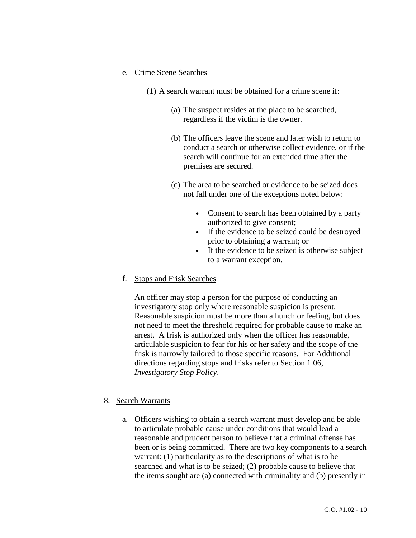### e. Crime Scene Searches

- (1) A search warrant must be obtained for a crime scene if:
	- (a) The suspect resides at the place to be searched, regardless if the victim is the owner.
	- (b) The officers leave the scene and later wish to return to conduct a search or otherwise collect evidence, or if the search will continue for an extended time after the premises are secured.
	- (c) The area to be searched or evidence to be seized does not fall under one of the exceptions noted below:
		- Consent to search has been obtained by a party authorized to give consent;
		- If the evidence to be seized could be destroyed prior to obtaining a warrant; or
		- If the evidence to be seized is otherwise subject to a warrant exception.

### f. Stops and Frisk Searches

An officer may stop a person for the purpose of conducting an investigatory stop only where reasonable suspicion is present. Reasonable suspicion must be more than a hunch or feeling, but does not need to meet the threshold required for probable cause to make an arrest. A frisk is authorized only when the officer has reasonable, articulable suspicion to fear for his or her safety and the scope of the frisk is narrowly tailored to those specific reasons. For Additional directions regarding stops and frisks refer to Section 1.06, *Investigatory Stop Policy*.

### 8. Search Warrants

a. Officers wishing to obtain a search warrant must develop and be able to articulate probable cause under conditions that would lead a reasonable and prudent person to believe that a criminal offense has been or is being committed. There are two key components to a search warrant: (1) particularity as to the descriptions of what is to be searched and what is to be seized; (2) probable cause to believe that the items sought are (a) connected with criminality and (b) presently in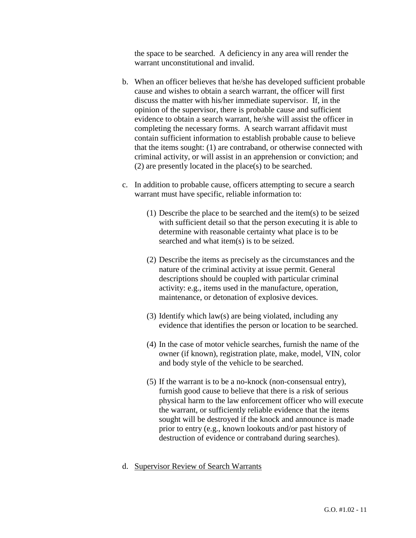the space to be searched. A deficiency in any area will render the warrant unconstitutional and invalid.

- b. When an officer believes that he/she has developed sufficient probable cause and wishes to obtain a search warrant, the officer will first discuss the matter with his/her immediate supervisor. If, in the opinion of the supervisor, there is probable cause and sufficient evidence to obtain a search warrant, he/she will assist the officer in completing the necessary forms. A search warrant affidavit must contain sufficient information to establish probable cause to believe that the items sought: (1) are contraband, or otherwise connected with criminal activity, or will assist in an apprehension or conviction; and (2) are presently located in the place(s) to be searched.
- c. In addition to probable cause, officers attempting to secure a search warrant must have specific, reliable information to:
	- (1) Describe the place to be searched and the item(s) to be seized with sufficient detail so that the person executing it is able to determine with reasonable certainty what place is to be searched and what item(s) is to be seized.
	- (2) Describe the items as precisely as the circumstances and the nature of the criminal activity at issue permit. General descriptions should be coupled with particular criminal activity: e.g., items used in the manufacture, operation, maintenance, or detonation of explosive devices.
	- (3) Identify which law(s) are being violated, including any evidence that identifies the person or location to be searched.
	- (4) In the case of motor vehicle searches, furnish the name of the owner (if known), registration plate, make, model, VIN, color and body style of the vehicle to be searched.
	- (5) If the warrant is to be a no-knock (non-consensual entry), furnish good cause to believe that there is a risk of serious physical harm to the law enforcement officer who will execute the warrant, or sufficiently reliable evidence that the items sought will be destroyed if the knock and announce is made prior to entry (e.g., known lookouts and/or past history of destruction of evidence or contraband during searches).
- d. Supervisor Review of Search Warrants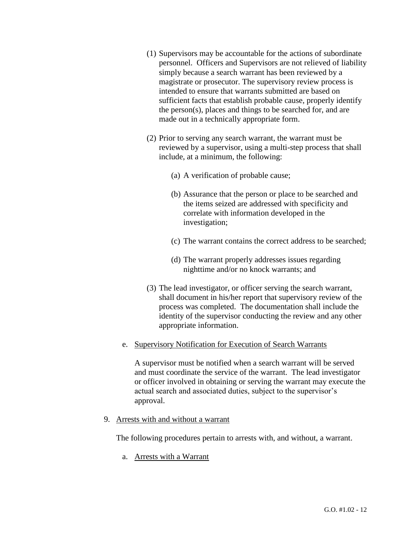- (1) Supervisors may be accountable for the actions of subordinate personnel. Officers and Supervisors are not relieved of liability simply because a search warrant has been reviewed by a magistrate or prosecutor. The supervisory review process is intended to ensure that warrants submitted are based on sufficient facts that establish probable cause, properly identify the person(s), places and things to be searched for, and are made out in a technically appropriate form.
- (2) Prior to serving any search warrant, the warrant must be reviewed by a supervisor, using a multi-step process that shall include, at a minimum, the following:
	- (a) A verification of probable cause;
	- (b) Assurance that the person or place to be searched and the items seized are addressed with specificity and correlate with information developed in the investigation;
	- (c) The warrant contains the correct address to be searched;
	- (d) The warrant properly addresses issues regarding nighttime and/or no knock warrants; and
- (3) The lead investigator, or officer serving the search warrant, shall document in his/her report that supervisory review of the process was completed. The documentation shall include the identity of the supervisor conducting the review and any other appropriate information.

## e. Supervisory Notification for Execution of Search Warrants

A supervisor must be notified when a search warrant will be served and must coordinate the service of the warrant. The lead investigator or officer involved in obtaining or serving the warrant may execute the actual search and associated duties, subject to the supervisor's approval.

9. Arrests with and without a warrant

The following procedures pertain to arrests with, and without, a warrant.

a. Arrests with a Warrant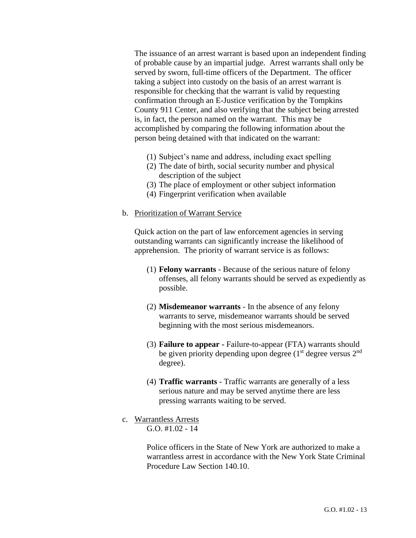The issuance of an arrest warrant is based upon an independent finding of probable cause by an impartial judge. Arrest warrants shall only be served by sworn, full-time officers of the Department. The officer taking a subject into custody on the basis of an arrest warrant is responsible for checking that the warrant is valid by requesting confirmation through an E-Justice verification by the Tompkins County 911 Center, and also verifying that the subject being arrested is, in fact, the person named on the warrant. This may be accomplished by comparing the following information about the person being detained with that indicated on the warrant:

- (1) Subject's name and address, including exact spelling
- (2) The date of birth, social security number and physical description of the subject
- (3) The place of employment or other subject information
- (4) Fingerprint verification when available

#### b. Prioritization of Warrant Service

Quick action on the part of law enforcement agencies in serving outstanding warrants can significantly increase the likelihood of apprehension. The priority of warrant service is as follows:

- (1) **Felony warrants** Because of the serious nature of felony offenses, all felony warrants should be served as expediently as possible.
- (2) **Misdemeanor warrants** In the absence of any felony warrants to serve, misdemeanor warrants should be served beginning with the most serious misdemeanors.
- (3) **Failure to appear -** Failure-to-appear (FTA) warrants should be given priority depending upon degree  $(1<sup>st</sup>$  degree versus  $2<sup>nd</sup>$ degree).
- (4) **Traffic warrants** Traffic warrants are generally of a less serious nature and may be served anytime there are less pressing warrants waiting to be served.
- c. Warrantless Arrests G.O.  $\#1.02 - 14$

Police officers in the State of New York are authorized to make a warrantless arrest in accordance with the New York State Criminal Procedure Law Section 140.10.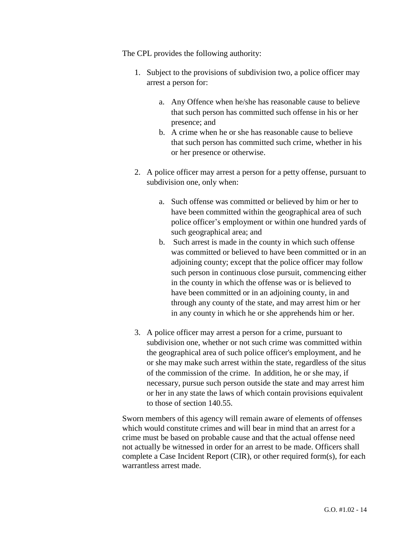The CPL provides the following authority:

- 1. Subject to the provisions of subdivision two, a police officer may arrest a person for:
	- a. Any Offence when he/she has reasonable cause to believe that such person has committed such offense in his or her presence; and
	- b. A crime when he or she has reasonable cause to believe that such person has committed such crime, whether in his or her presence or otherwise.
- 2. A police officer may arrest a person for a petty offense, pursuant to subdivision one, only when:
	- a. Such offense was committed or believed by him or her to have been committed within the geographical area of such police officer's employment or within one hundred yards of such geographical area; and
	- b. Such arrest is made in the county in which such offense was committed or believed to have been committed or in an adjoining county; except that the police officer may follow such person in continuous close pursuit, commencing either in the county in which the offense was or is believed to have been committed or in an adjoining county, in and through any county of the state, and may arrest him or her in any county in which he or she apprehends him or her.
- 3. A police officer may arrest a person for a crime, pursuant to subdivision one, whether or not such crime was committed within the geographical area of such police officer's employment, and he or she may make such arrest within the state, regardless of the situs of the commission of the crime. In addition, he or she may, if necessary, pursue such person outside the state and may arrest him or her in any state the laws of which contain provisions equivalent to those of section 140.55.

Sworn members of this agency will remain aware of elements of offenses which would constitute crimes and will bear in mind that an arrest for a crime must be based on probable cause and that the actual offense need not actually be witnessed in order for an arrest to be made. Officers shall complete a Case Incident Report (CIR), or other required form(s), for each warrantless arrest made.